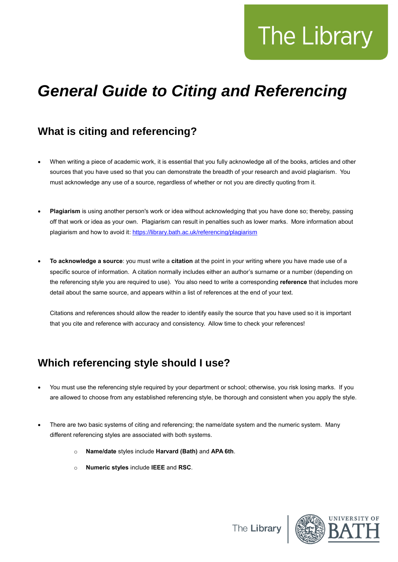# The Library

# *General Guide to Citing and Referencing*

# **What is citing and referencing?**

- When writing a piece of academic work, it is essential that you fully acknowledge all of the books, articles and other sources that you have used so that you can demonstrate the breadth of your research and avoid plagiarism. You must acknowledge any use of a source, regardless of whether or not you are directly quoting from it.
- **Plagiarism** is using another person's work or idea without acknowledging that you have done so; thereby, passing off that work or idea as your own. Plagiarism can result in penalties such as lower marks. More information about plagiarism and how to avoid it:<https://library.bath.ac.uk/referencing/plagiarism>
- **To acknowledge a source**: you must write a **citation** at the point in your writing where you have made use of a specific source of information. A citation normally includes either an author's surname or a number (depending on the referencing style you are required to use). You also need to write a corresponding **reference** that includes more detail about the same source, and appears within a list of references at the end of your text.

Citations and references should allow the reader to identify easily the source that you have used so it is important that you cite and reference with accuracy and consistency. Allow time to check your references!

# **Which referencing style should I use?**

- You must use the referencing style required by your department or school; otherwise, you risk losing marks. If you are allowed to choose from any established referencing style, be thorough and consistent when you apply the style.
- There are two basic systems of citing and referencing; the name/date system and the numeric system. Many different referencing styles are associated with both systems.
	- o **Name/date** styles include **Harvard (Bath)** and **APA 6th**.
	- o **Numeric styles** include **IEEE** and **RSC**.

The Librar

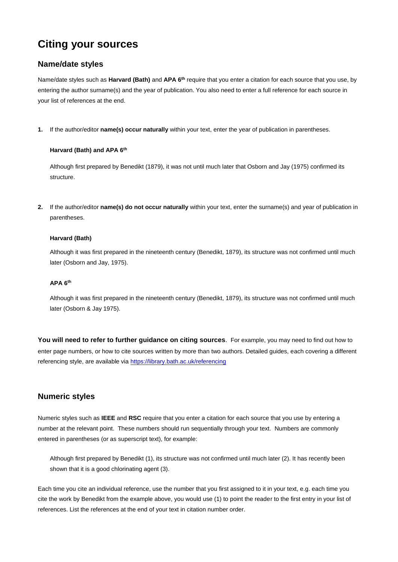# **Citing your sources**

#### **Name/date styles**

Name/date styles such as **Harvard (Bath)** and **APA 6th** require that you enter a citation for each source that you use, by entering the author surname(s) and the year of publication. You also need to enter a full reference for each source in your list of references at the end.

**1.** If the author/editor **name(s) occur naturally** within your text, enter the year of publication in parentheses.

#### **Harvard (Bath) and APA 6th**

Although first prepared by Benedikt (1879), it was not until much later that Osborn and Jay (1975) confirmed its structure.

**2.** If the author/editor **name(s) do not occur naturally** within your text, enter the surname(s) and year of publication in parentheses.

#### **Harvard (Bath)**

Although it was first prepared in the nineteenth century (Benedikt, 1879), its structure was not confirmed until much later (Osborn and Jay, 1975).

#### **APA 6th**

Although it was first prepared in the nineteenth century (Benedikt, 1879), its structure was not confirmed until much later (Osborn & Jay 1975).

**You will need to refer to further guidance on citing sources**. For example, you may need to find out how to enter page numbers, or how to cite sources written by more than two authors. Detailed guides, each covering a different referencing style, are available via<https://library.bath.ac.uk/referencing>

#### **Numeric styles**

Numeric styles such as **IEEE** and **RSC** require that you enter a citation for each source that you use by entering a number at the relevant point. These numbers should run sequentially through your text. Numbers are commonly entered in parentheses (or as superscript text), for example:

Although first prepared by Benedikt (1), its structure was not confirmed until much later (2). It has recently been shown that it is a good chlorinating agent (3).

Each time you cite an individual reference, use the number that you first assigned to it in your text, e.g. each time you cite the work by Benedikt from the example above, you would use (1) to point the reader to the first entry in your list of references. List the references at the end of your text in citation number order.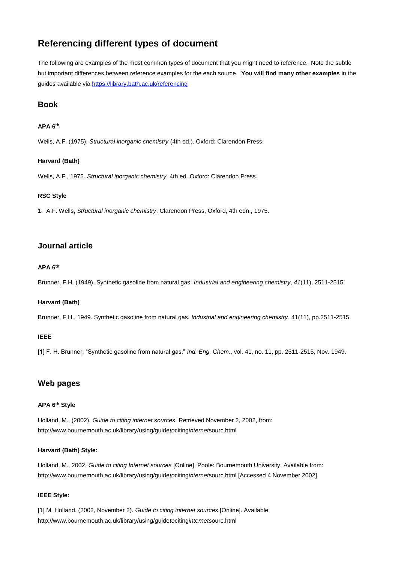## **Referencing different types of document**

The following are examples of the most common types of document that you might need to reference. Note the subtle but important differences between reference examples for the each source. **You will find many other examples** in the guides available via <https://library.bath.ac.uk/referencing>

#### **Book**

#### **APA 6th**

Wells, A.F. (1975). *Structural inorganic chemistry* (4th ed.). Oxford: Clarendon Press.

#### **Harvard (Bath)**

Wells, A.F., 1975. *Structural inorganic chemistry*. 4th ed. Oxford: Clarendon Press.

#### **RSC Style**

1.A.F. Wells, *Structural inorganic chemistry*, Clarendon Press, Oxford, 4th edn., 1975.

#### **Journal article**

#### **APA 6th**

Brunner, F.H. (1949). Synthetic gasoline from natural gas. *Industrial and engineering chemistry*, *41*(11), 2511-2515.

#### **Harvard (Bath)**

Brunner, F.H., 1949. Synthetic gasoline from natural gas. *Industrial and engineering chemistry*, 41(11), pp.2511-2515.

#### **IEEE**

[1] F. H. Brunner, "Synthetic gasoline from natural gas," *Ind. Eng. Chem.*, vol. 41, no. 11, pp. 2511-2515, Nov. 1949.

#### **Web pages**

#### **APA 6th Style**

Holland, M., (2002). *Guide to citing internet sources*. Retrieved November 2, 2002, from: http://www.bournemouth.ac.uk/library/using/guide*to*citing*internet*sourc.html

#### **Harvard (Bath) Style:**

Holland, M., 2002. *Guide to citing Internet sources* [Online]. Poole: Bournemouth University. Available from: http://www.bournemouth.ac.uk/library/using/guide*to*citing*internet*sourc.html [Accessed 4 November 2002].

#### **IEEE Style:**

[1] M. Holland. (2002, November 2). *Guide to citing internet sources* [Online]. Available: http://www.bournemouth.ac.uk/library/using/guide*to*citing*internet*sourc.html